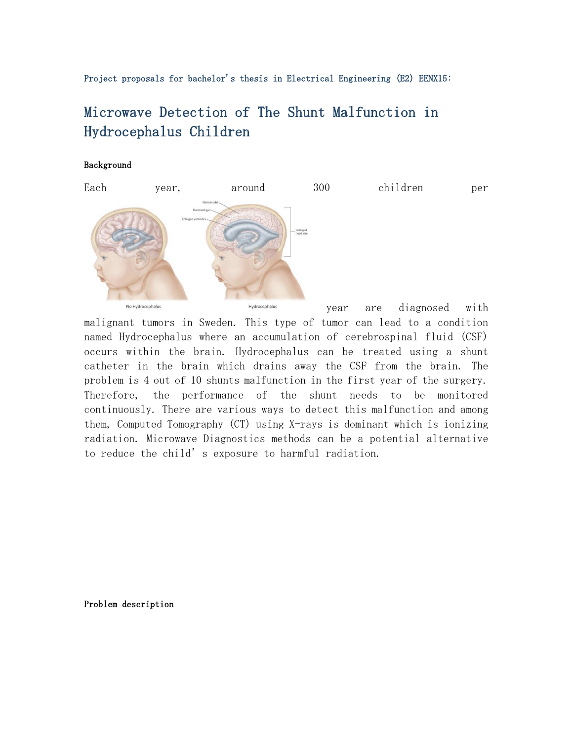Project proposals for bachelor's thesis in Electrical Engineering (E2) EENX15:

## Microwave Detection of The Shunt Malfunction in Hydrocephalus Children

## Background



malignant tumors in Sweden. This type of tumor can lead to a condition named Hydrocephalus where an accumulation of cerebrospinal fluid (CSF) occurs within the brain. Hydrocephalus can be treated using a shunt catheter in the brain which drains away the CSF from the brain. The problem is 4 out of 10 shunts malfunction in the first year of the surgery. Therefore, the performance of the shunt needs to be monitored continuously. There are various ways to detect this malfunction and among them, Computed Tomography (CT) using X-rays is dominant which is ionizing radiation. Microwave Diagnostics methods can be a potential alternative to reduce the child's exposure to harmful radiation.

Problem description